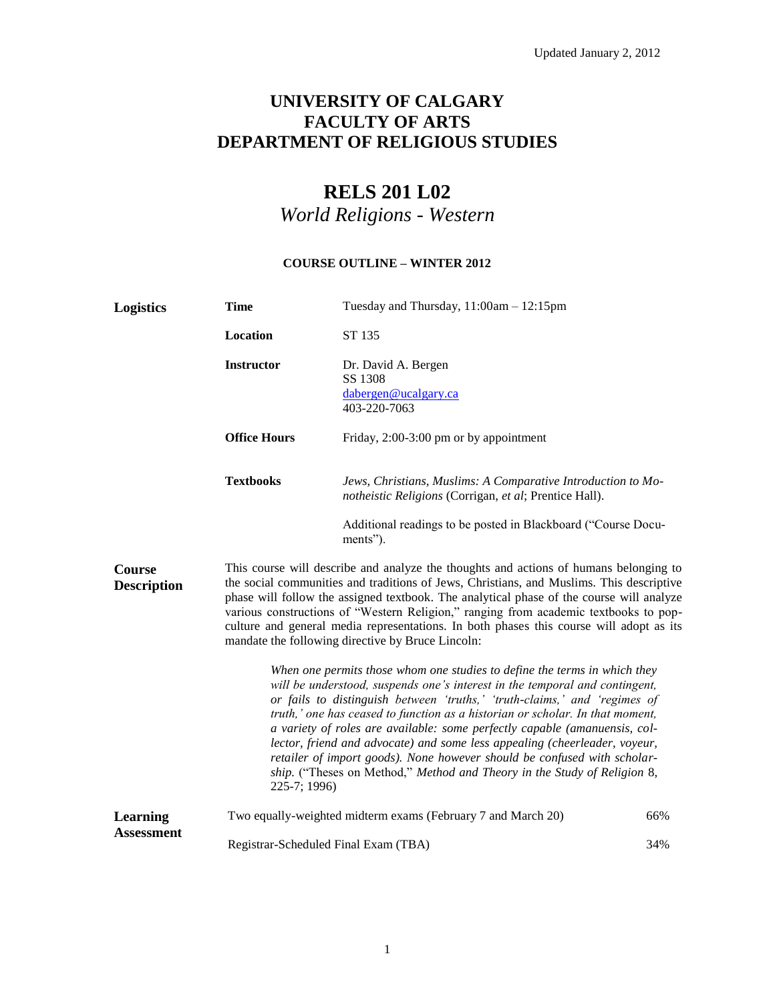# **UNIVERSITY OF CALGARY FACULTY OF ARTS DEPARTMENT OF RELIGIOUS STUDIES**

# **RELS 201 L02**

*World Religions - Western*

# **COURSE OUTLINE – WINTER 2012**

| <b>Logistics</b>                    | <b>Time</b>                                                                                                                                                                                                                                                                                                                                                                                                                                                                                                                                                                                                                                                | Tuesday and Thursday, 11:00am - 12:15pm                                                                                |     |
|-------------------------------------|------------------------------------------------------------------------------------------------------------------------------------------------------------------------------------------------------------------------------------------------------------------------------------------------------------------------------------------------------------------------------------------------------------------------------------------------------------------------------------------------------------------------------------------------------------------------------------------------------------------------------------------------------------|------------------------------------------------------------------------------------------------------------------------|-----|
|                                     | Location                                                                                                                                                                                                                                                                                                                                                                                                                                                                                                                                                                                                                                                   | ST 135                                                                                                                 |     |
|                                     | <b>Instructor</b>                                                                                                                                                                                                                                                                                                                                                                                                                                                                                                                                                                                                                                          | Dr. David A. Bergen<br>SS 1308<br>dabergen@ucalgary.ca<br>403-220-7063                                                 |     |
|                                     | <b>Office Hours</b>                                                                                                                                                                                                                                                                                                                                                                                                                                                                                                                                                                                                                                        | Friday, 2:00-3:00 pm or by appointment                                                                                 |     |
|                                     | <b>Textbooks</b>                                                                                                                                                                                                                                                                                                                                                                                                                                                                                                                                                                                                                                           | Jews, Christians, Muslims: A Comparative Introduction to Mo-<br>notheistic Religions (Corrigan, et al; Prentice Hall). |     |
|                                     |                                                                                                                                                                                                                                                                                                                                                                                                                                                                                                                                                                                                                                                            | Additional readings to be posted in Blackboard ("Course Docu-<br>ments").                                              |     |
| <b>Course</b><br><b>Description</b> | This course will describe and analyze the thoughts and actions of humans belonging to<br>the social communities and traditions of Jews, Christians, and Muslims. This descriptive<br>phase will follow the assigned textbook. The analytical phase of the course will analyze<br>various constructions of "Western Religion," ranging from academic textbooks to pop-<br>culture and general media representations. In both phases this course will adopt as its<br>mandate the following directive by Bruce Lincoln:                                                                                                                                      |                                                                                                                        |     |
|                                     | When one permits those whom one studies to define the terms in which they<br>will be understood, suspends one's interest in the temporal and contingent,<br>or fails to distinguish between 'truths,' 'truth-claims,' and 'regimes of<br>truth,' one has ceased to function as a historian or scholar. In that moment,<br>a variety of roles are available: some perfectly capable (amanuensis, col-<br>lector, friend and advocate) and some less appealing (cheerleader, voyeur,<br>retailer of import goods). None however should be confused with scholar-<br>ship. ("Theses on Method," Method and Theory in the Study of Religion 8,<br>225-7; 1996) |                                                                                                                        |     |
| Learning<br><b>Assessment</b>       |                                                                                                                                                                                                                                                                                                                                                                                                                                                                                                                                                                                                                                                            | Two equally-weighted midterm exams (February 7 and March 20)                                                           | 66% |
|                                     | Registrar-Scheduled Final Exam (TBA)                                                                                                                                                                                                                                                                                                                                                                                                                                                                                                                                                                                                                       |                                                                                                                        | 34% |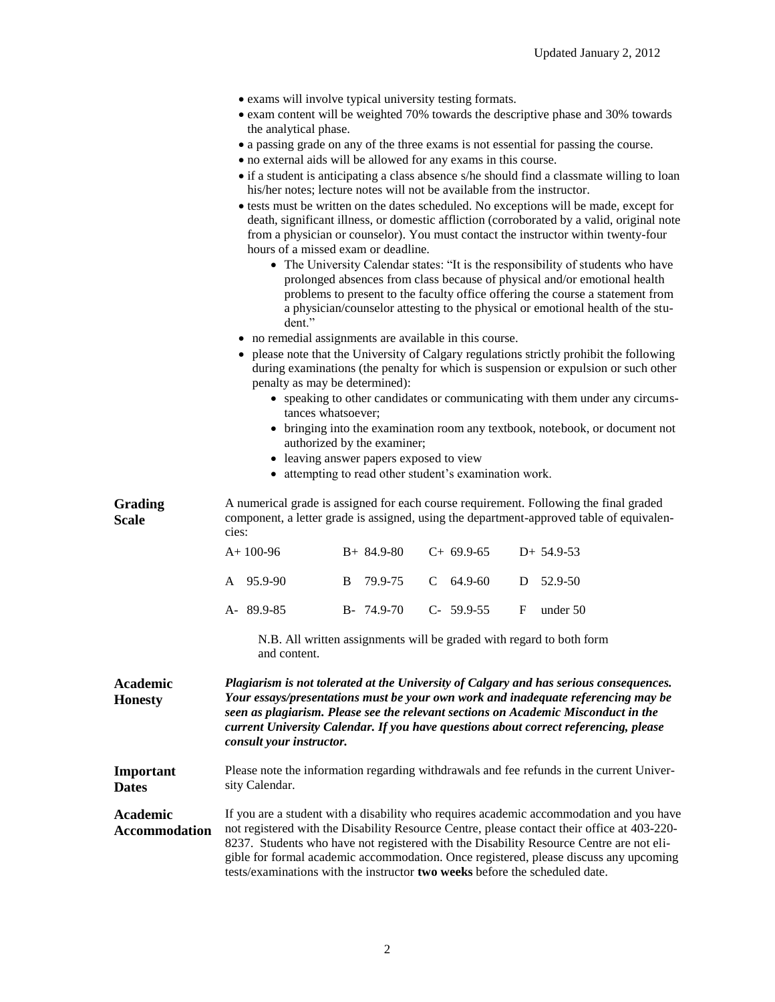|                                         | • exams will involve typical university testing formats.<br>• exam content will be weighted 70% towards the descriptive phase and 30% towards                                                                                                                                                                                                                                                                                                                                                                                                                                                                                                                                                                                                                                                                                                                                                                                                                                                                                                                                                                                                                                                                                                                                                                                                                                                                                                                                                                                                                                  |  |  |
|-----------------------------------------|--------------------------------------------------------------------------------------------------------------------------------------------------------------------------------------------------------------------------------------------------------------------------------------------------------------------------------------------------------------------------------------------------------------------------------------------------------------------------------------------------------------------------------------------------------------------------------------------------------------------------------------------------------------------------------------------------------------------------------------------------------------------------------------------------------------------------------------------------------------------------------------------------------------------------------------------------------------------------------------------------------------------------------------------------------------------------------------------------------------------------------------------------------------------------------------------------------------------------------------------------------------------------------------------------------------------------------------------------------------------------------------------------------------------------------------------------------------------------------------------------------------------------------------------------------------------------------|--|--|
|                                         | the analytical phase.<br>• a passing grade on any of the three exams is not essential for passing the course.<br>• no external aids will be allowed for any exams in this course.<br>• if a student is anticipating a class absence s/he should find a classmate willing to loan<br>his/her notes; lecture notes will not be available from the instructor.<br>• tests must be written on the dates scheduled. No exceptions will be made, except for<br>death, significant illness, or domestic affliction (corroborated by a valid, original note<br>from a physician or counselor). You must contact the instructor within twenty-four<br>hours of a missed exam or deadline.<br>• The University Calendar states: "It is the responsibility of students who have<br>prolonged absences from class because of physical and/or emotional health<br>problems to present to the faculty office offering the course a statement from<br>a physician/counselor attesting to the physical or emotional health of the stu-<br>dent."<br>• no remedial assignments are available in this course.<br>please note that the University of Calgary regulations strictly prohibit the following<br>during examinations (the penalty for which is suspension or expulsion or such other<br>penalty as may be determined):<br>• speaking to other candidates or communicating with them under any circums-<br>tances whatsoever;<br>• bringing into the examination room any textbook, notebook, or document not<br>authorized by the examiner;<br>• leaving answer papers exposed to view |  |  |
| <b>Grading</b>                          | • attempting to read other student's examination work.<br>A numerical grade is assigned for each course requirement. Following the final graded                                                                                                                                                                                                                                                                                                                                                                                                                                                                                                                                                                                                                                                                                                                                                                                                                                                                                                                                                                                                                                                                                                                                                                                                                                                                                                                                                                                                                                |  |  |
| <b>Scale</b>                            | component, a letter grade is assigned, using the department-approved table of equivalen-<br>cies:                                                                                                                                                                                                                                                                                                                                                                                                                                                                                                                                                                                                                                                                                                                                                                                                                                                                                                                                                                                                                                                                                                                                                                                                                                                                                                                                                                                                                                                                              |  |  |
|                                         | $C+69.9-65$<br>$A+100-96$<br>$B+ 84.9-80$<br>$D+ 54.9-53$                                                                                                                                                                                                                                                                                                                                                                                                                                                                                                                                                                                                                                                                                                                                                                                                                                                                                                                                                                                                                                                                                                                                                                                                                                                                                                                                                                                                                                                                                                                      |  |  |
|                                         | 79.9-75<br>$C$ 64.9-60<br>52.9-50<br>A 95.9-90<br>B<br>D                                                                                                                                                                                                                                                                                                                                                                                                                                                                                                                                                                                                                                                                                                                                                                                                                                                                                                                                                                                                                                                                                                                                                                                                                                                                                                                                                                                                                                                                                                                       |  |  |
|                                         | A-89.9-85<br>$B - 74.9 - 70$<br>$C-59.9-55$<br>$\mathbf F$<br>under 50                                                                                                                                                                                                                                                                                                                                                                                                                                                                                                                                                                                                                                                                                                                                                                                                                                                                                                                                                                                                                                                                                                                                                                                                                                                                                                                                                                                                                                                                                                         |  |  |
|                                         | N.B. All written assignments will be graded with regard to both form<br>and content.                                                                                                                                                                                                                                                                                                                                                                                                                                                                                                                                                                                                                                                                                                                                                                                                                                                                                                                                                                                                                                                                                                                                                                                                                                                                                                                                                                                                                                                                                           |  |  |
| <b>Academic</b><br><b>Honesty</b>       | Plagiarism is not tolerated at the University of Calgary and has serious consequences.<br>Your essays/presentations must be your own work and inadequate referencing may be<br>seen as plagiarism. Please see the relevant sections on Academic Misconduct in the<br>current University Calendar. If you have questions about correct referencing, please<br>consult your instructor.                                                                                                                                                                                                                                                                                                                                                                                                                                                                                                                                                                                                                                                                                                                                                                                                                                                                                                                                                                                                                                                                                                                                                                                          |  |  |
| Important<br><b>Dates</b>               | Please note the information regarding withdrawals and fee refunds in the current Univer-<br>sity Calendar.                                                                                                                                                                                                                                                                                                                                                                                                                                                                                                                                                                                                                                                                                                                                                                                                                                                                                                                                                                                                                                                                                                                                                                                                                                                                                                                                                                                                                                                                     |  |  |
| <b>Academic</b><br><b>Accommodation</b> | If you are a student with a disability who requires academic accommodation and you have<br>not registered with the Disability Resource Centre, please contact their office at 403-220-<br>8237. Students who have not registered with the Disability Resource Centre are not eli-<br>gible for formal academic accommodation. Once registered, please discuss any upcoming<br>tests/examinations with the instructor two weeks before the scheduled date.                                                                                                                                                                                                                                                                                                                                                                                                                                                                                                                                                                                                                                                                                                                                                                                                                                                                                                                                                                                                                                                                                                                      |  |  |